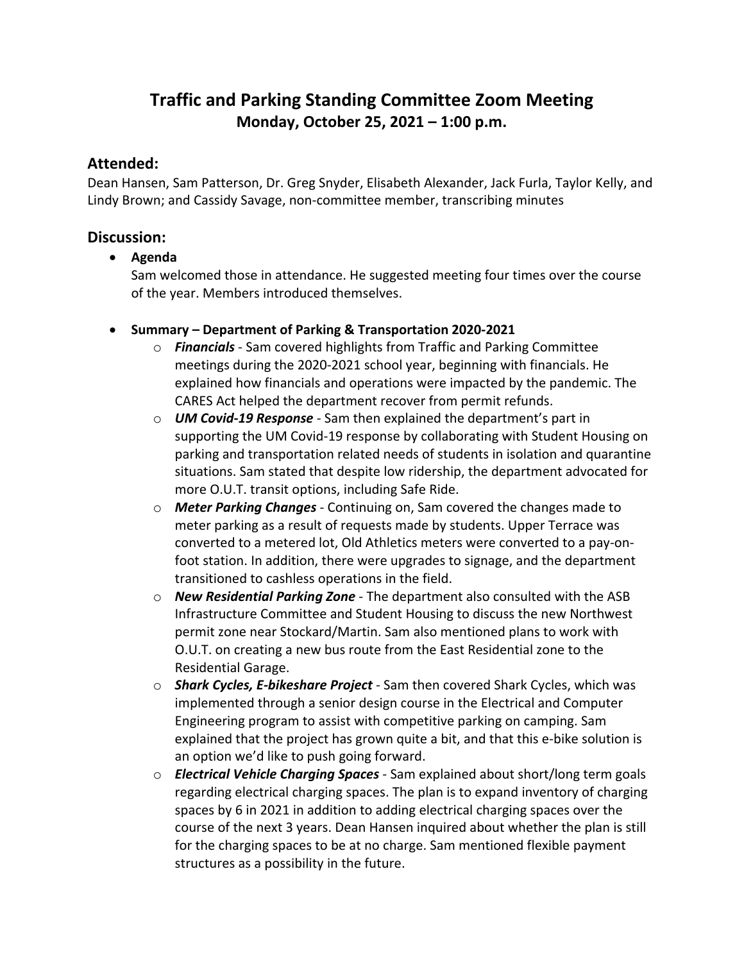# **Traffic and Parking Standing Committee Zoom Meeting Monday, October 25, 2021 – 1:00 p.m.**

### **Attended:**

Dean Hansen, Sam Patterson, Dr. Greg Snyder, Elisabeth Alexander, Jack Furla, Taylor Kelly, and Lindy Brown; and Cassidy Savage, non‐committee member, transcribing minutes

## **Discussion:**

**Agenda**

Sam welcomed those in attendance. He suggested meeting four times over the course of the year. Members introduced themselves.

- **Summary – Department of Parking & Transportation 2020‐2021**
	- o *Financials* ‐ Sam covered highlights from Traffic and Parking Committee meetings during the 2020‐2021 school year, beginning with financials. He explained how financials and operations were impacted by the pandemic. The CARES Act helped the department recover from permit refunds.
	- o *UM Covid‐19 Response* ‐ Sam then explained the department's part in supporting the UM Covid-19 response by collaborating with Student Housing on parking and transportation related needs of students in isolation and quarantine situations. Sam stated that despite low ridership, the department advocated for more O.U.T. transit options, including Safe Ride.
	- o *Meter Parking Changes* ‐ Continuing on, Sam covered the changes made to meter parking as a result of requests made by students. Upper Terrace was converted to a metered lot, Old Athletics meters were converted to a pay‐on‐ foot station. In addition, there were upgrades to signage, and the department transitioned to cashless operations in the field.
	- o *New Residential Parking Zone* ‐ The department also consulted with the ASB Infrastructure Committee and Student Housing to discuss the new Northwest permit zone near Stockard/Martin. Sam also mentioned plans to work with O.U.T. on creating a new bus route from the East Residential zone to the Residential Garage.
	- o *Shark Cycles, E‐bikeshare Project* ‐ Sam then covered Shark Cycles, which was implemented through a senior design course in the Electrical and Computer Engineering program to assist with competitive parking on camping. Sam explained that the project has grown quite a bit, and that this e‐bike solution is an option we'd like to push going forward.
	- o *Electrical Vehicle Charging Spaces* ‐ Sam explained about short/long term goals regarding electrical charging spaces. The plan is to expand inventory of charging spaces by 6 in 2021 in addition to adding electrical charging spaces over the course of the next 3 years. Dean Hansen inquired about whether the plan is still for the charging spaces to be at no charge. Sam mentioned flexible payment structures as a possibility in the future.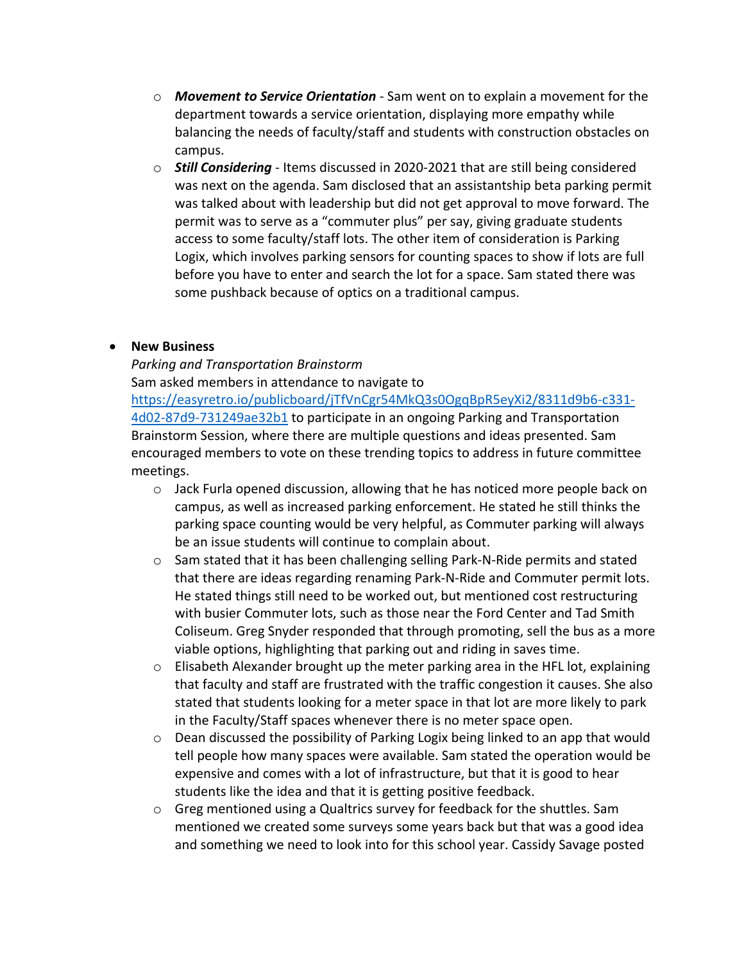- o *Movement to Service Orientation* ‐ Sam went on to explain a movement for the department towards a service orientation, displaying more empathy while balancing the needs of faculty/staff and students with construction obstacles on campus.
- o *Still Considering* ‐ Items discussed in 2020‐2021 that are still being considered was next on the agenda. Sam disclosed that an assistantship beta parking permit was talked about with leadership but did not get approval to move forward. The permit was to serve as a "commuter plus" per say, giving graduate students access to some faculty/staff lots. The other item of consideration is Parking Logix, which involves parking sensors for counting spaces to show if lots are full before you have to enter and search the lot for a space. Sam stated there was some pushback because of optics on a traditional campus.

#### **New Business**

*Parking and Transportation Brainstorm* Sam asked members in attendance to navigate to https://easyretro.io/publicboard/jTfVnCgr54MkQ3s0OgqBpR5eyXi2/8311d9b6‐c331‐ 4d02‐87d9‐731249ae32b1 to participate in an ongoing Parking and Transportation Brainstorm Session, where there are multiple questions and ideas presented. Sam encouraged members to vote on these trending topics to address in future committee meetings.

- $\circ$  Jack Furla opened discussion, allowing that he has noticed more people back on campus, as well as increased parking enforcement. He stated he still thinks the parking space counting would be very helpful, as Commuter parking will always be an issue students will continue to complain about.
- o Sam stated that it has been challenging selling Park‐N‐Ride permits and stated that there are ideas regarding renaming Park‐N‐Ride and Commuter permit lots. He stated things still need to be worked out, but mentioned cost restructuring with busier Commuter lots, such as those near the Ford Center and Tad Smith Coliseum. Greg Snyder responded that through promoting, sell the bus as a more viable options, highlighting that parking out and riding in saves time.
- $\circ$  Elisabeth Alexander brought up the meter parking area in the HFL lot, explaining that faculty and staff are frustrated with the traffic congestion it causes. She also stated that students looking for a meter space in that lot are more likely to park in the Faculty/Staff spaces whenever there is no meter space open.
- $\circ$  Dean discussed the possibility of Parking Logix being linked to an app that would tell people how many spaces were available. Sam stated the operation would be expensive and comes with a lot of infrastructure, but that it is good to hear students like the idea and that it is getting positive feedback.
- $\circ$  Greg mentioned using a Qualtrics survey for feedback for the shuttles. Sam mentioned we created some surveys some years back but that was a good idea and something we need to look into for this school year. Cassidy Savage posted